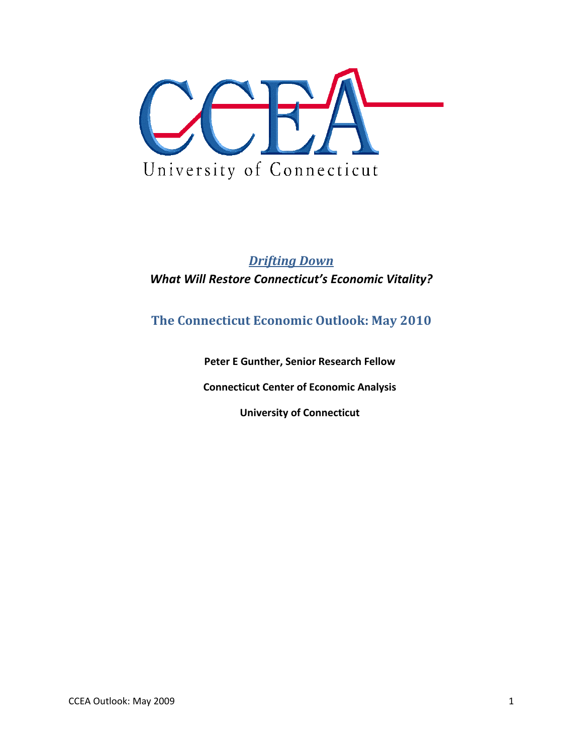

# *Drifting Down What Will Restore Connecticut's Economic Vitality?*

# **The Connecticut Economic Outlook: May 2010**

**Peter E Gunther, Senior Research Fellow**

**Connecticut Center of Economic Analysis**

**University of Connecticut**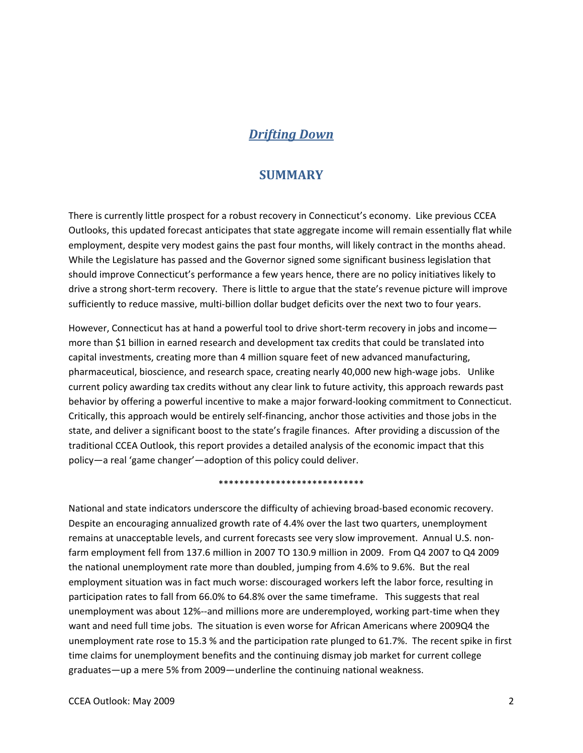## *Drifting Down*

#### **SUMMARY**

There is currently little prospect for a robust recovery in Connecticut's economy. Like previous CCEA Outlooks, this updated forecast anticipates that state aggregate income will remain essentially flat while employment, despite very modest gains the past four months, will likely contract in the months ahead. While the Legislature has passed and the Governor signed some significant business legislation that should improve Connecticut's performance a few years hence, there are no policy initiatives likely to drive a strong short‐term recovery. There is little to argue that the state's revenue picture will improve sufficiently to reduce massive, multi‐billion dollar budget deficits over the next two to four years.

However, Connecticut has at hand a powerful tool to drive short-term recovery in jobs and income more than \$1 billion in earned research and development tax credits that could be translated into capital investments, creating more than 4 million square feet of new advanced manufacturing, pharmaceutical, bioscience, and research space, creating nearly 40,000 new high‐wage jobs. Unlike current policy awarding tax credits without any clear link to future activity, this approach rewards past behavior by offering a powerful incentive to make a major forward‐looking commitment to Connecticut. Critically, this approach would be entirely self‐financing, anchor those activities and those jobs in the state, and deliver a significant boost to the state's fragile finances. After providing a discussion of the traditional CCEA Outlook, this report provides a detailed analysis of the economic impact that this policy—a real 'game changer'—adoption of this policy could deliver.

#### \*\*\*\*\*\*\*\*\*\*\*\*\*\*\*\*\*\*\*\*\*\*\*\*\*\*\*\*

National and state indicators underscore the difficulty of achieving broad‐based economic recovery. Despite an encouraging annualized growth rate of 4.4% over the last two quarters, unemployment remains at unacceptable levels, and current forecasts see very slow improvement. Annual U.S. non‐ farm employment fell from 137.6 million in 2007 TO 130.9 million in 2009. From Q4 2007 to Q4 2009 the national unemployment rate more than doubled, jumping from 4.6% to 9.6%. But the real employment situation was in fact much worse: discouraged workers left the labor force, resulting in participation rates to fall from 66.0% to 64.8% over the same timeframe. This suggests that real unemployment was about 12%--and millions more are underemployed, working part-time when they want and need full time jobs. The situation is even worse for African Americans where 2009Q4 the unemployment rate rose to 15.3 % and the participation rate plunged to 61.7%. The recent spike in first time claims for unemployment benefits and the continuing dismay job market for current college graduates—up a mere 5% from 2009—underline the continuing national weakness.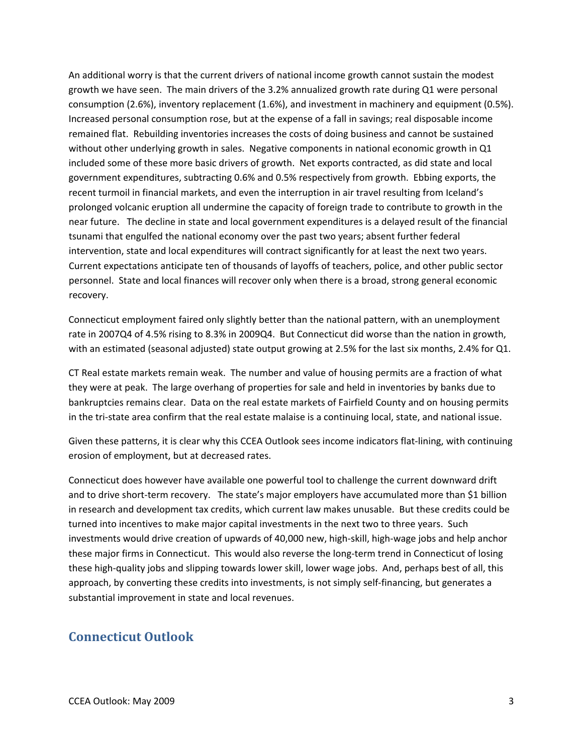An additional worry is that the current drivers of national income growth cannot sustain the modest growth we have seen. The main drivers of the 3.2% annualized growth rate during Q1 were personal consumption (2.6%), inventory replacement (1.6%), and investment in machinery and equipment (0.5%). Increased personal consumption rose, but at the expense of a fall in savings; real disposable income remained flat. Rebuilding inventories increases the costs of doing business and cannot be sustained without other underlying growth in sales. Negative components in national economic growth in Q1 included some of these more basic drivers of growth. Net exports contracted, as did state and local government expenditures, subtracting 0.6% and 0.5% respectively from growth. Ebbing exports, the recent turmoil in financial markets, and even the interruption in air travel resulting from Iceland's prolonged volcanic eruption all undermine the capacity of foreign trade to contribute to growth in the near future. The decline in state and local government expenditures is a delayed result of the financial tsunami that engulfed the national economy over the past two years; absent further federal intervention, state and local expenditures will contract significantly for at least the next two years. Current expectations anticipate ten of thousands of layoffs of teachers, police, and other public sector personnel. State and local finances will recover only when there is a broad, strong general economic recovery.

Connecticut employment faired only slightly better than the national pattern, with an unemployment rate in 2007Q4 of 4.5% rising to 8.3% in 2009Q4. But Connecticut did worse than the nation in growth, with an estimated (seasonal adjusted) state output growing at 2.5% for the last six months, 2.4% for Q1.

CT Real estate markets remain weak. The number and value of housing permits are a fraction of what they were at peak. The large overhang of properties for sale and held in inventories by banks due to bankruptcies remains clear. Data on the real estate markets of Fairfield County and on housing permits in the tri‐state area confirm that the real estate malaise is a continuing local, state, and national issue.

Given these patterns, it is clear why this CCEA Outlook sees income indicators flat‐lining, with continuing erosion of employment, but at decreased rates.

Connecticut does however have available one powerful tool to challenge the current downward drift and to drive short-term recovery. The state's major employers have accumulated more than \$1 billion in research and development tax credits, which current law makes unusable. But these credits could be turned into incentives to make major capital investments in the next two to three years. Such investments would drive creation of upwards of 40,000 new, high‐skill, high‐wage jobs and help anchor these major firms in Connecticut. This would also reverse the long-term trend in Connecticut of losing these high‐quality jobs and slipping towards lower skill, lower wage jobs. And, perhaps best of all, this approach, by converting these credits into investments, is not simply self-financing, but generates a substantial improvement in state and local revenues.

### **Connecticut Outlook**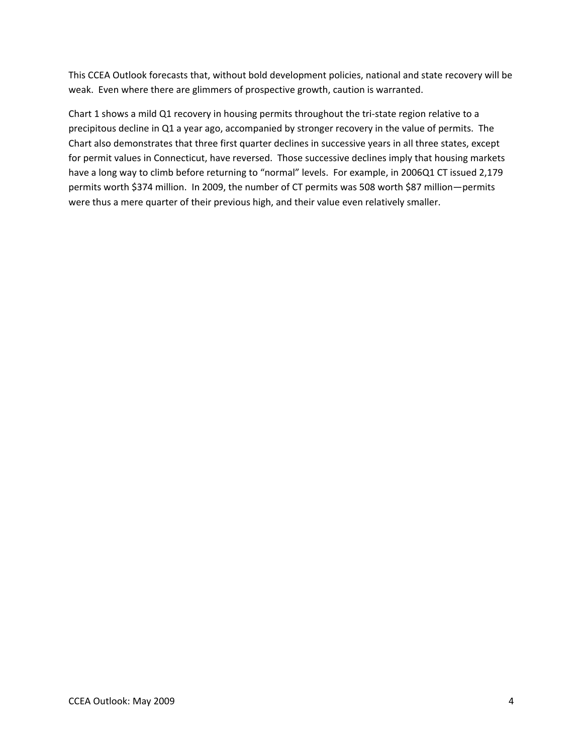This CCEA Outlook forecasts that, without bold development policies, national and state recovery will be weak. Even where there are glimmers of prospective growth, caution is warranted.

Chart 1 shows a mild Q1 recovery in housing permits throughout the tri‐state region relative to a precipitous decline in Q1 a year ago, accompanied by stronger recovery in the value of permits. The Chart also demonstrates that three first quarter declines in successive years in all three states, except for permit values in Connecticut, have reversed. Those successive declines imply that housing markets have a long way to climb before returning to "normal" levels. For example, in 2006Q1 CT issued 2,179 permits worth \$374 million. In 2009, the number of CT permits was 508 worth \$87 million—permits were thus a mere quarter of their previous high, and their value even relatively smaller.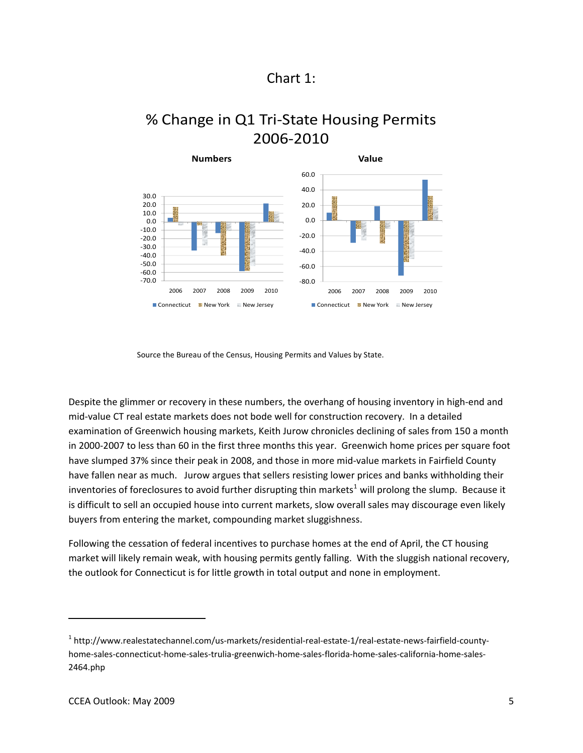# Chart 1:

# % Change in Q1 Tri‐State Housing Permits 2006‐2010



Source the Bureau of the Census, Housing Permits and Values by State.

Despite the glimmer or recovery in these numbers, the overhang of housing inventory in high-end and mid‐value CT real estate markets does not bode well for construction recovery. In a detailed examination of Greenwich housing markets, Keith Jurow chronicles declining of sales from 150 a month in 2000‐2007 to less than 60 in the first three months this year. Greenwich home prices per square foot have slumped 37% since their peak in 2008, and those in more mid-value markets in Fairfield County have fallen near as much. Jurow argues that sellers resisting lower prices and banks withholding their inventories of foreclosures to avoid further disrupting thin markets<sup>[1](#page-4-0)</sup> will prolong the slump. Because it is difficult to sell an occupied house into current markets, slow overall sales may discourage even likely buyers from entering the market, compounding market sluggishness.

Following the cessation of federal incentives to purchase homes at the end of April, the CT housing market will likely remain weak, with housing permits gently falling. With the sluggish national recovery, the outlook for Connecticut is for little growth in total output and none in employment.

<span id="page-4-0"></span><sup>1</sup> http://www.realestatechannel.com/us‐markets/residential‐real‐estate‐1/real‐estate‐news‐fairfield‐county‐ home-sales-connecticut-home-sales-trulia-greenwich-home-sales-florida-home-sales-california-home-sales-2464.php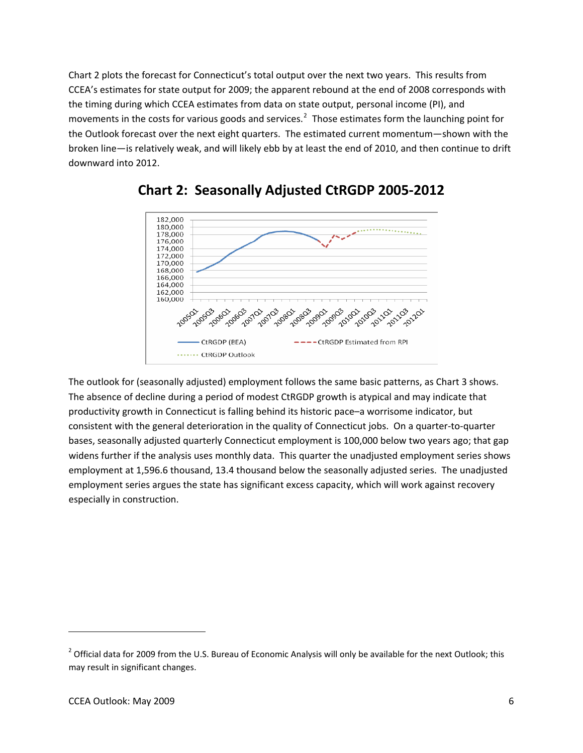Chart 2 plots the forecast for Connecticut's total output over the next two years. This results from CCEA's estimates for state output for 2009; the apparent rebound at the end of 2008 corresponds with the timing during which CCEA estimates from data on state output, personal income (PI), and movements in the costs for various goods and services.<sup>[2](#page-5-0)</sup> Those estimates form the launching point for the Outlook forecast over the next eight quarters. The estimated current momentum—shown with the broken line—is relatively weak, and will likely ebb by at least the end of 2010, and then continue to drift downward into 2012.





The outlook for (seasonally adjusted) employment follows the same basic patterns, as Chart 3 shows. The absence of decline during a period of modest CtRGDP growth is atypical and may indicate that productivity growth in Connecticut is falling behind its historic pace–a worrisome indicator, but consistent with the general deterioration in the quality of Connecticut jobs. On a quarter‐to‐quarter bases, seasonally adjusted quarterly Connecticut employment is 100,000 below two years ago; that gap widens further if the analysis uses monthly data. This quarter the unadjusted employment series shows employment at 1,596.6 thousand, 13.4 thousand below the seasonally adjusted series. The unadjusted employment series argues the state has significant excess capacity, which will work against recovery especially in construction.

<span id="page-5-0"></span> $2$  Official data for 2009 from the U.S. Bureau of Economic Analysis will only be available for the next Outlook; this may result in significant changes.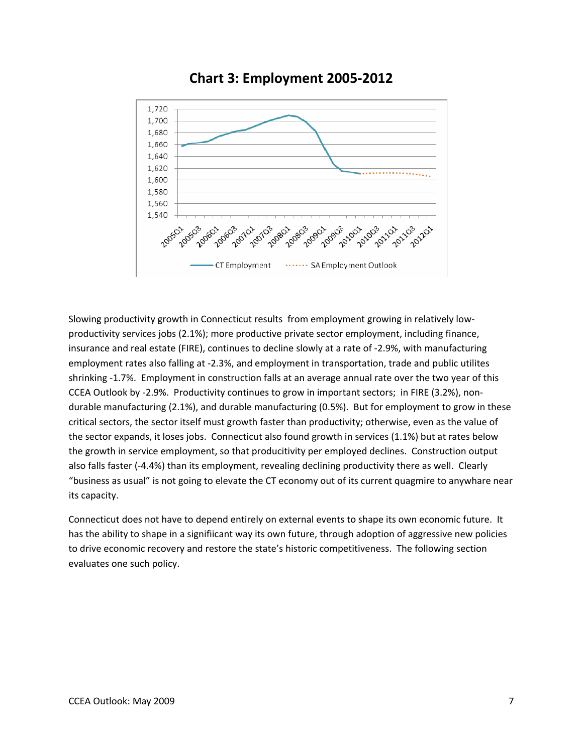

# **Chart 3: Employment 2005‐2012**

Slowing productivity growth in Connecticut results from employment growing in relatively low‐ productivity services jobs (2.1%); more productive private sector employment, including finance, insurance and real estate (FIRE), continues to decline slowly at a rate of ‐2.9%, with manufacturing employment rates also falling at ‐2.3%, and employment in transportation, trade and public utilites shrinking ‐1.7%. Employment in construction falls at an average annual rate over the two year of this CCEA Outlook by ‐2.9%. Productivity continues to grow in important sectors; in FIRE (3.2%), non‐ durable manufacturing (2.1%), and durable manufacturing (0.5%). But for employment to grow in these critical sectors, the sector itself must growth faster than productivity; otherwise, even as the value of the sector expands, it loses jobs. Connecticut also found growth in services (1.1%) but at rates below the growth in service employment, so that producitivity per employed declines. Construction output also falls faster (‐4.4%) than its employment, revealing declining productivity there as well. Clearly "business as usual" is not going to elevate the CT economy out of its current quagmire to anywhare near its capacity.

Connecticut does not have to depend entirely on external events to shape its own economic future. It has the ability to shape in a signifiicant way its own future, through adoption of aggressive new policies to drive economic recovery and restore the state's historic competitiveness. The following section evaluates one such policy.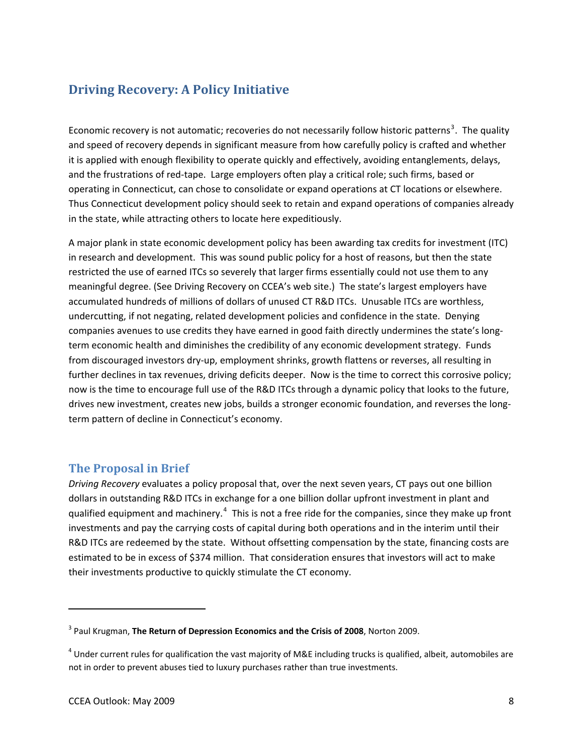# **Driving Recovery: A Policy Initiative**

Economic recovery is not automatic; recoveries do not necessarily follow historic patterns<sup>[3](#page-7-0)</sup>. The quality and speed of recovery depends in significant measure from how carefully policy is crafted and whether it is applied with enough flexibility to operate quickly and effectively, avoiding entanglements, delays, and the frustrations of red-tape. Large employers often play a critical role; such firms, based or operating in Connecticut, can chose to consolidate or expand operations at CT locations or elsewhere. Thus Connecticut development policy should seek to retain and expand operations of companies already in the state, while attracting others to locate here expeditiously.

A major plank in state economic development policy has been awarding tax credits for investment (ITC) in research and development. This was sound public policy for a host of reasons, but then the state restricted the use of earned ITCs so severely that larger firms essentially could not use them to any meaningful degree. (See Driving Recovery on CCEA's web site.) The state's largest employers have accumulated hundreds of millions of dollars of unused CT R&D ITCs. Unusable ITCs are worthless, undercutting, if not negating, related development policies and confidence in the state. Denying companies avenues to use credits they have earned in good faith directly undermines the state's longterm economic health and diminishes the credibility of any economic development strategy. Funds from discouraged investors dry‐up, employment shrinks, growth flattens or reverses, all resulting in further declines in tax revenues, driving deficits deeper. Now is the time to correct this corrosive policy; now is the time to encourage full use of the R&D ITCs through a dynamic policy that looks to the future, drives new investment, creates new jobs, builds a stronger economic foundation, and reverses the long‐ term pattern of decline in Connecticut's economy.

#### **The Proposal in Brief**

*Driving Recovery* evaluates a policy proposal that, over the next seven years, CT pays out one billion dollars in outstanding R&D ITCs in exchange for a one billion dollar upfront investment in plant and qualified equipment and machinery.<sup>[4](#page-7-1)</sup> This is not a free ride for the companies, since they make up front investments and pay the carrying costs of capital during both operations and in the interim until their R&D ITCs are redeemed by the state. Without offsetting compensation by the state, financing costs are estimated to be in excess of \$374 million. That consideration ensures that investors will act to make their investments productive to quickly stimulate the CT economy.

<span id="page-7-0"></span><sup>3</sup> Paul Krugman, **The Return of Depression Economics and the Crisis of 2008**, Norton 2009.

<span id="page-7-1"></span> $4$  Under current rules for qualification the vast majority of M&E including trucks is qualified, albeit, automobiles are not in order to prevent abuses tied to luxury purchases rather than true investments.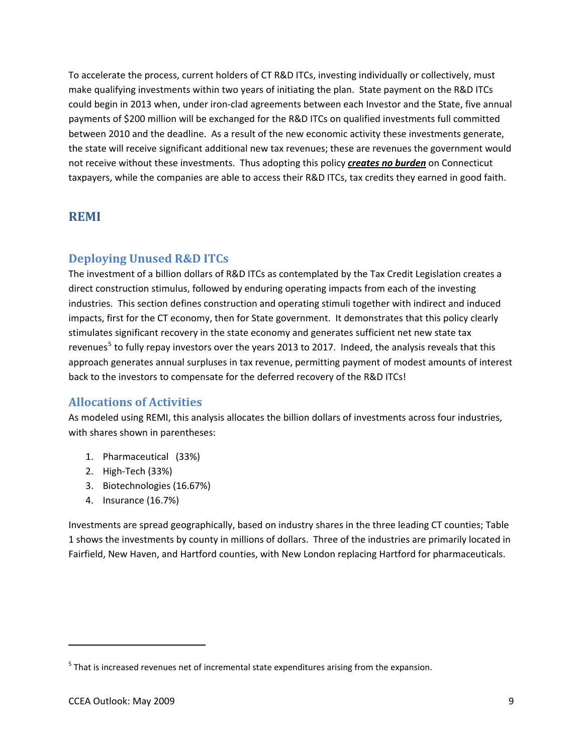To accelerate the process, current holders of CT R&D ITCs, investing individually or collectively, must make qualifying investments within two years of initiating the plan. State payment on the R&D ITCs could begin in 2013 when, under iron-clad agreements between each Investor and the State, five annual payments of \$200 million will be exchanged for the R&D ITCs on qualified investments full committed between 2010 and the deadline. As a result of the new economic activity these investments generate, the state will receive significant additional new tax revenues; these are revenues the government would not receive without these investments. Thus adopting this policy *creates no burden* on Connecticut taxpayers, while the companies are able to access their R&D ITCs, tax credits they earned in good faith.

### **REMI**

### **Deploying Unused R&D ITCs**

The investment of a billion dollars of R&D ITCs as contemplated by the Tax Credit Legislation creates a direct construction stimulus, followed by enduring operating impacts from each of the investing industries. This section defines construction and operating stimuli together with indirect and induced impacts, first for the CT economy, then for State government. It demonstrates that this policy clearly stimulates significant recovery in the state economy and generates sufficient net new state tax revenues<sup>[5](#page-8-0)</sup> to fully repay investors over the years 2013 to 2017. Indeed, the analysis reveals that this approach generates annual surpluses in tax revenue, permitting payment of modest amounts of interest back to the investors to compensate for the deferred recovery of the R&D ITCs!

### **Allocations of Activities**

As modeled using REMI, this analysis allocates the billion dollars of investments across four industries, with shares shown in parentheses:

- 1. Pharmaceutical (33%)
- 2. High‐Tech (33%)
- 3. Biotechnologies (16.67%)
- 4. Insurance (16.7%)

Investments are spread geographically, based on industry shares in the three leading CT counties; Table 1 shows the investments by county in millions of dollars. Three of the industries are primarily located in Fairfield, New Haven, and Hartford counties, with New London replacing Hartford for pharmaceuticals.

<span id="page-8-0"></span> $<sup>5</sup>$  That is increased revenues net of incremental state expenditures arising from the expansion.</sup>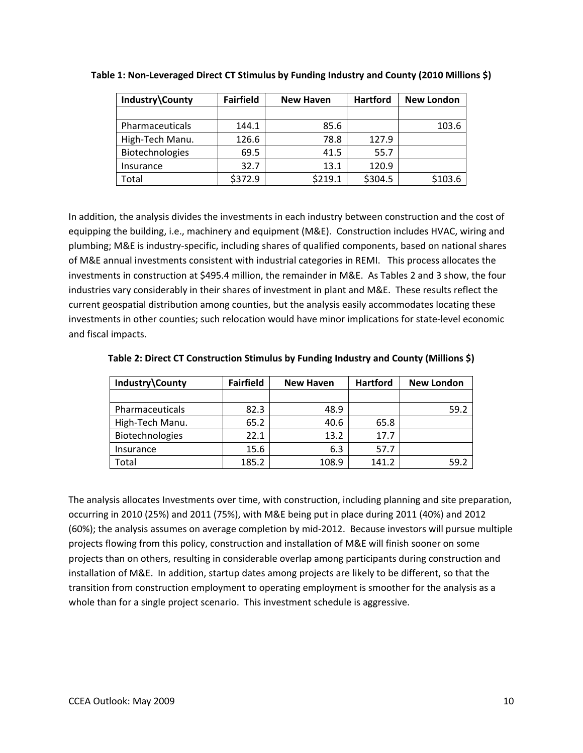| Industry\County | <b>Fairfield</b> | <b>New Haven</b> | <b>Hartford</b> | <b>New London</b> |
|-----------------|------------------|------------------|-----------------|-------------------|
|                 |                  |                  |                 |                   |
| Pharmaceuticals | 144.1            | 85.6             |                 | 103.6             |
| High-Tech Manu. | 126.6            | 78.8             | 127.9           |                   |
| Biotechnologies | 69.5             | 41.5             | 55.7            |                   |
| Insurance       | 32.7             | 13.1             | 120.9           |                   |
| Total           | \$372.9          | \$219.1          | \$304.5         | \$103.6           |

**Table 1: Non‐Leveraged Direct CT Stimulus by Funding Industry and County (2010 Millions \$)**

In addition, the analysis divides the investments in each industry between construction and the cost of equipping the building, i.e., machinery and equipment (M&E). Construction includes HVAC, wiring and plumbing; M&E is industry‐specific, including shares of qualified components, based on national shares of M&E annual investments consistent with industrial categories in REMI. This process allocates the investments in construction at \$495.4 million, the remainder in M&E. As Tables 2 and 3 show, the four industries vary considerably in their shares of investment in plant and M&E. These results reflect the current geospatial distribution among counties, but the analysis easily accommodates locating these investments in other counties; such relocation would have minor implications for state-level economic and fiscal impacts.

| Industry\County | <b>Fairfield</b> | <b>New Haven</b> | <b>Hartford</b> | <b>New London</b> |
|-----------------|------------------|------------------|-----------------|-------------------|
|                 |                  |                  |                 |                   |
| Pharmaceuticals | 82.3             | 48.9             |                 | 59.2              |
| High-Tech Manu. | 65.2             | 40.6             | 65.8            |                   |
| Biotechnologies | 22.1             | 13.2             | 17.7            |                   |
| Insurance       | 15.6             | 6.3              | 57.7            |                   |
| Total           | 185.2            | 108.9            | 141.2           | 59.2              |

**Table 2: Direct CT Construction Stimulus by Funding Industry and County (Millions \$)**

The analysis allocates Investments over time, with construction, including planning and site preparation, occurring in 2010 (25%) and 2011 (75%), with M&E being put in place during 2011 (40%) and 2012 (60%); the analysis assumes on average completion by mid‐2012. Because investors will pursue multiple projects flowing from this policy, construction and installation of M&E will finish sooner on some projects than on others, resulting in considerable overlap among participants during construction and installation of M&E. In addition, startup dates among projects are likely to be different, so that the transition from construction employment to operating employment is smoother for the analysis as a whole than for a single project scenario. This investment schedule is aggressive.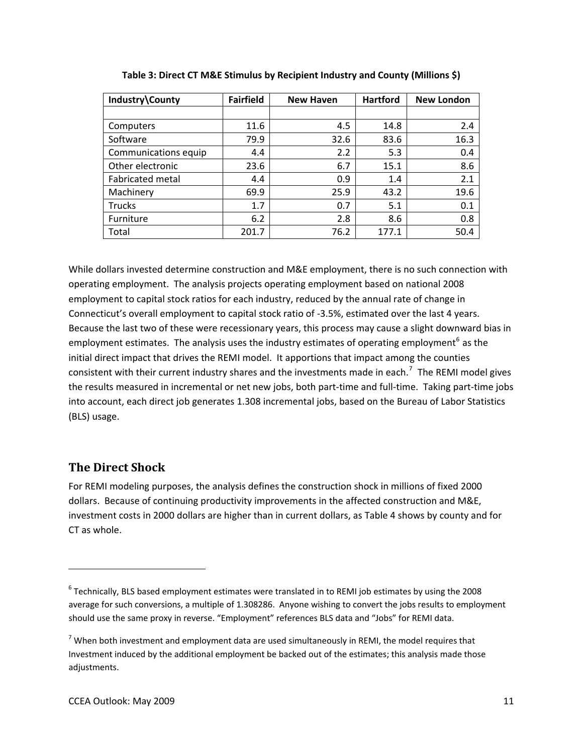| Industry\County         | <b>Fairfield</b> | <b>New Haven</b> | <b>Hartford</b> | <b>New London</b> |
|-------------------------|------------------|------------------|-----------------|-------------------|
|                         |                  |                  |                 |                   |
| Computers               | 11.6             | 4.5              | 14.8            | 2.4               |
| Software                | 79.9             | 32.6             | 83.6            | 16.3              |
| Communications equip    | 4.4              | 2.2              | 5.3             | 0.4               |
| Other electronic        | 23.6             | 6.7              | 15.1            | 8.6               |
| <b>Fabricated metal</b> | 4.4              | 0.9              | 1.4             | 2.1               |
| Machinery               | 69.9             | 25.9             | 43.2            | 19.6              |
| <b>Trucks</b>           | 1.7              | 0.7              | 5.1             | 0.1               |
| Furniture               | 6.2              | 2.8              | 8.6             | 0.8               |
| Total                   | 201.7            | 76.2             | 177.1           | 50.4              |

**Table 3: Direct CT M&E Stimulus by Recipient Industry and County (Millions \$)**

While dollars invested determine construction and M&E employment, there is no such connection with operating employment. The analysis projects operating employment based on national 2008 employment to capital stock ratios for each industry, reduced by the annual rate of change in Connecticut's overall employment to capital stock ratio of ‐3.5%, estimated over the last 4 years. Because the last two of these were recessionary years, this process may cause a slight downward bias in employment estimates. The analysis uses the industry estimates of operating employment<sup>[6](#page-10-0)</sup> as the initial direct impact that drives the REMI model. It apportions that impact among the counties consistent with their current industry shares and the investments made in each.<sup>[7](#page-10-1)</sup> The REMI model gives the results measured in incremental or net new jobs, both part‐time and full‐time. Taking part‐time jobs into account, each direct job generates 1.308 incremental jobs, based on the Bureau of Labor Statistics (BLS) usage.

#### **The Direct Shock**

For REMI modeling purposes, the analysis defines the construction shock in millions of fixed 2000 dollars. Because of continuing productivity improvements in the affected construction and M&E, investment costs in 2000 dollars are higher than in current dollars, as Table 4 shows by county and for CT as whole.

<span id="page-10-0"></span><sup>6</sup> Technically, BLS based employment estimates were translated in to REMI job estimates by using the 2008 average for such conversions, a multiple of 1.308286. Anyone wishing to convert the jobs results to employment should use the same proxy in reverse. "Employment" references BLS data and "Jobs" for REMI data.

<span id="page-10-1"></span> $<sup>7</sup>$  When both investment and employment data are used simultaneously in REMI, the model requires that</sup> Investment induced by the additional employment be backed out of the estimates; this analysis made those adjustments.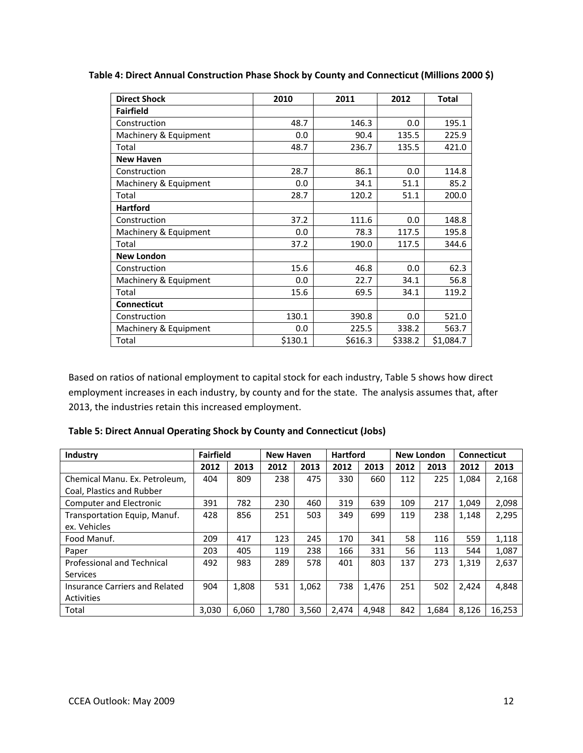| <b>Direct Shock</b>   | 2010    | 2011    | 2012    | Total     |
|-----------------------|---------|---------|---------|-----------|
| <b>Fairfield</b>      |         |         |         |           |
| Construction          | 48.7    | 146.3   | 0.0     | 195.1     |
| Machinery & Equipment | 0.0     | 90.4    | 135.5   | 225.9     |
| Total                 | 48.7    | 236.7   | 135.5   | 421.0     |
| <b>New Haven</b>      |         |         |         |           |
| Construction          | 28.7    | 86.1    | 0.0     | 114.8     |
| Machinery & Equipment | 0.0     | 34.1    | 51.1    | 85.2      |
| Total                 | 28.7    | 120.2   | 51.1    | 200.0     |
| <b>Hartford</b>       |         |         |         |           |
| Construction          | 37.2    | 111.6   | 0.0     | 148.8     |
| Machinery & Equipment | 0.0     | 78.3    | 117.5   | 195.8     |
| Total                 | 37.2    | 190.0   | 117.5   | 344.6     |
| <b>New London</b>     |         |         |         |           |
| Construction          | 15.6    | 46.8    | 0.0     | 62.3      |
| Machinery & Equipment | 0.0     | 22.7    | 34.1    | 56.8      |
| Total                 | 15.6    | 69.5    | 34.1    | 119.2     |
| <b>Connecticut</b>    |         |         |         |           |
| Construction          | 130.1   | 390.8   | 0.0     | 521.0     |
| Machinery & Equipment | 0.0     | 225.5   | 338.2   | 563.7     |
| Total                 | \$130.1 | \$616.3 | \$338.2 | \$1,084.7 |

**Table 4: Direct Annual Construction Phase Shock by County and Connecticut (Millions 2000 \$)**

Based on ratios of national employment to capital stock for each industry, Table 5 shows how direct employment increases in each industry, by county and for the state. The analysis assumes that, after 2013, the industries retain this increased employment.

| Industry                          | <b>Fairfield</b> |       | <b>New Haven</b> |       | <b>Hartford</b> |       | <b>New London</b> |       | <b>Connecticut</b> |        |
|-----------------------------------|------------------|-------|------------------|-------|-----------------|-------|-------------------|-------|--------------------|--------|
|                                   | 2012             | 2013  | 2012             | 2013  | 2012            | 2013  | 2012              | 2013  | 2012               | 2013   |
| Chemical Manu. Ex. Petroleum,     | 404              | 809   | 238              | 475   | 330             | 660   | 112               | 225   | 1,084              | 2,168  |
| Coal, Plastics and Rubber         |                  |       |                  |       |                 |       |                   |       |                    |        |
| <b>Computer and Electronic</b>    | 391              | 782   | 230              | 460   | 319             | 639   | 109               | 217   | 1,049              | 2,098  |
| Transportation Equip, Manuf.      | 428              | 856   | 251              | 503   | 349             | 699   | 119               | 238   | 1,148              | 2,295  |
| ex. Vehicles                      |                  |       |                  |       |                 |       |                   |       |                    |        |
| Food Manuf.                       | 209              | 417   | 123              | 245   | 170             | 341   | 58                | 116   | 559                | 1,118  |
| Paper                             | 203              | 405   | 119              | 238   | 166             | 331   | 56                | 113   | 544                | 1,087  |
| <b>Professional and Technical</b> | 492              | 983   | 289              | 578   | 401             | 803   | 137               | 273   | 1,319              | 2,637  |
| <b>Services</b>                   |                  |       |                  |       |                 |       |                   |       |                    |        |
| Insurance Carriers and Related    | 904              | 1,808 | 531              | 1.062 | 738             | 1,476 | 251               | 502   | 2,424              | 4,848  |
| Activities                        |                  |       |                  |       |                 |       |                   |       |                    |        |
| Total                             | 3,030            | 6,060 | 1,780            | 3,560 | 2,474           | 4,948 | 842               | 1,684 | 8,126              | 16,253 |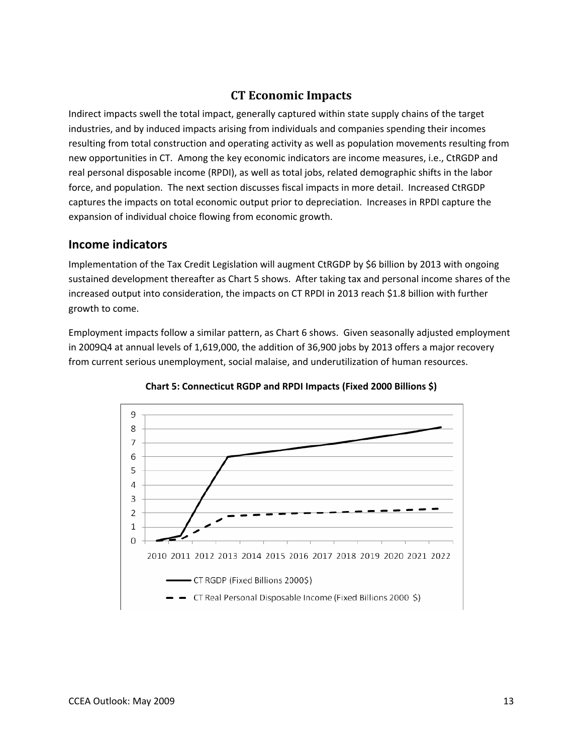## **CT Economic Impacts**

Indirect impacts swell the total impact, generally captured within state supply chains of the target industries, and by induced impacts arising from individuals and companies spending their incomes resulting from total construction and operating activity as well as population movements resulting from new opportunities in CT. Among the key economic indicators are income measures, i.e., CtRGDP and real personal disposable income (RPDI), as well as total jobs, related demographic shifts in the labor force, and population. The next section discusses fiscal impacts in more detail. Increased CtRGDP captures the impacts on total economic output prior to depreciation. Increases in RPDI capture the expansion of individual choice flowing from economic growth.

#### **Income indicators**

Implementation of the Tax Credit Legislation will augment CtRGDP by \$6 billion by 2013 with ongoing sustained development thereafter as Chart 5 shows. After taking tax and personal income shares of the increased output into consideration, the impacts on CT RPDI in 2013 reach \$1.8 billion with further growth to come.

Employment impacts follow a similar pattern, as Chart 6 shows. Given seasonally adjusted employment in 2009Q4 at annual levels of 1,619,000, the addition of 36,900 jobs by 2013 offers a major recovery from current serious unemployment, social malaise, and underutilization of human resources.



**Chart 5: Connecticut RGDP and RPDI Impacts (Fixed 2000 Billions \$)**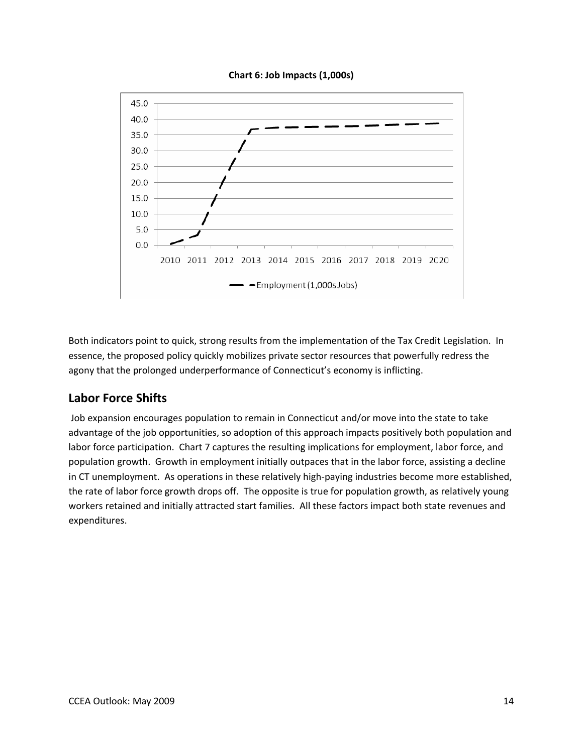



Both indicators point to quick, strong results from the implementation of the Tax Credit Legislation. In essence, the proposed policy quickly mobilizes private sector resources that powerfully redress the agony that the prolonged underperformance of Connecticut's economy is inflicting.

# **Labor Force Shifts**

Job expansion encourages population to remain in Connecticut and/or move into the state to take advantage of the job opportunities, so adoption of this approach impacts positively both population and labor force participation. Chart 7 captures the resulting implications for employment, labor force, and population growth. Growth in employment initially outpaces that in the labor force, assisting a decline in CT unemployment. As operations in these relatively high‐paying industries become more established, the rate of labor force growth drops off. The opposite is true for population growth, as relatively young workers retained and initially attracted start families. All these factors impact both state revenues and expenditures.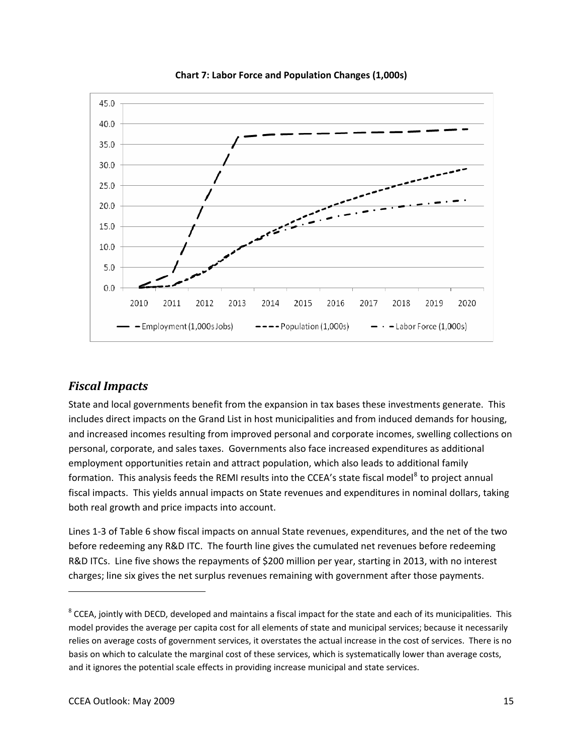

**Chart 7: Labor Force and Population Changes (1,000s)**

#### *Fiscal Impacts*

State and local governments benefit from the expansion in tax bases these investments generate. This includes direct impacts on the Grand List in host municipalities and from induced demands for housing, and increased incomes resulting from improved personal and corporate incomes, swelling collections on personal, corporate, and sales taxes. Governments also face increased expenditures as additional employment opportunities retain and attract population, which also leads to additional family formation. This analysis feeds the REMI results into the CCEA's state fiscal model<sup>[8](#page-14-0)</sup> to project annual fiscal impacts. This yields annual impacts on State revenues and expenditures in nominal dollars, taking both real growth and price impacts into account.

Lines 1‐3 of Table 6 show fiscal impacts on annual State revenues, expenditures, and the net of the two before redeeming any R&D ITC. The fourth line gives the cumulated net revenues before redeeming R&D ITCs. Line five shows the repayments of \$200 million per year, starting in 2013, with no interest charges; line six gives the net surplus revenues remaining with government after those payments.

<span id="page-14-0"></span> $8$  CCEA, jointly with DECD, developed and maintains a fiscal impact for the state and each of its municipalities. This model provides the average per capita cost for all elements of state and municipal services; because it necessarily relies on average costs of government services, it overstates the actual increase in the cost of services. There is no basis on which to calculate the marginal cost of these services, which is systematically lower than average costs, and it ignores the potential scale effects in providing increase municipal and state services.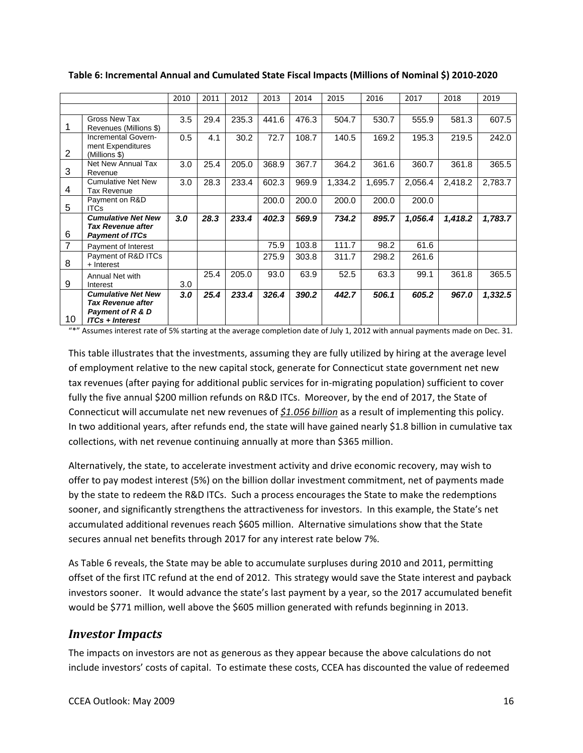|                |                                                                                              | 2010 | 2011 | 2012  | 2013  | 2014  | 2015    | 2016    | 2017    | 2018    | 2019    |
|----------------|----------------------------------------------------------------------------------------------|------|------|-------|-------|-------|---------|---------|---------|---------|---------|
|                |                                                                                              |      |      |       |       |       |         |         |         |         |         |
|                | Gross New Tax<br>Revenues (Millions \$)                                                      | 3.5  | 29.4 | 235.3 | 441.6 | 476.3 | 504.7   | 530.7   | 555.9   | 581.3   | 607.5   |
| 2              | Incremental Govern-<br>ment Expenditures<br>(Millions \$)                                    | 0.5  | 4.1  | 30.2  | 72.7  | 108.7 | 140.5   | 169.2   | 195.3   | 219.5   | 242.0   |
| 3              | Net New Annual Tax<br>Revenue                                                                | 3.0  | 25.4 | 205.0 | 368.9 | 367.7 | 364.2   | 361.6   | 360.7   | 361.8   | 365.5   |
| 4              | <b>Cumulative Net New</b><br><b>Tax Revenue</b>                                              | 3.0  | 28.3 | 233.4 | 602.3 | 969.9 | 1,334.2 | 1,695.7 | 2,056.4 | 2,418.2 | 2,783.7 |
| 5              | Payment on R&D<br><b>ITCs</b>                                                                |      |      |       | 200.0 | 200.0 | 200.0   | 200.0   | 200.0   |         |         |
| 6              | <b>Cumulative Net New</b><br><b>Tax Revenue after</b><br><b>Payment of ITCs</b>              | 3.0  | 28.3 | 233.4 | 402.3 | 569.9 | 734.2   | 895.7   | 1,056.4 | 1,418.2 | 1,783.7 |
| $\overline{7}$ | Payment of Interest                                                                          |      |      |       | 75.9  | 103.8 | 111.7   | 98.2    | 61.6    |         |         |
| 8              | Payment of R&D ITCs<br>+ Interest                                                            |      |      |       | 275.9 | 303.8 | 311.7   | 298.2   | 261.6   |         |         |
| 9              | Annual Net with<br>Interest                                                                  | 3.0  | 25.4 | 205.0 | 93.0  | 63.9  | 52.5    | 63.3    | 99.1    | 361.8   | 365.5   |
| 10             | <b>Cumulative Net New</b><br>Tax Revenue after<br>Payment of R & D<br><b>ITCs + Interest</b> | 3.0  | 25.4 | 233.4 | 326.4 | 390.2 | 442.7   | 506.1   | 605.2   | 967.0   | 1,332.5 |

**Table 6: Incremental Annual and Cumulated State Fiscal Impacts (Millions of Nominal \$) 2010‐2020**

"\*" Assumes interest rate of 5% starting at the average completion date of July 1, 2012 with annual payments made on Dec. 31.

This table illustrates that the investments, assuming they are fully utilized by hiring at the average level of employment relative to the new capital stock, generate for Connecticut state government net new tax revenues (after paying for additional public services for in‐migrating population) sufficient to cover fully the five annual \$200 million refunds on R&D ITCs. Moreover, by the end of 2017, the State of Connecticut will accumulate net new revenues of *\$1.056 billion* as a result of implementing this policy. In two additional years, after refunds end, the state will have gained nearly \$1.8 billion in cumulative tax collections, with net revenue continuing annually at more than \$365 million.

Alternatively, the state, to accelerate investment activity and drive economic recovery, may wish to offer to pay modest interest (5%) on the billion dollar investment commitment, net of payments made by the state to redeem the R&D ITCs. Such a process encourages the State to make the redemptions sooner, and significantly strengthens the attractiveness for investors. In this example, the State's net accumulated additional revenues reach \$605 million. Alternative simulations show that the State secures annual net benefits through 2017 for any interest rate below 7%.

As Table 6 reveals, the State may be able to accumulate surpluses during 2010 and 2011, permitting offset of the first ITC refund at the end of 2012. This strategy would save the State interest and payback investors sooner. It would advance the state's last payment by a year, so the 2017 accumulated benefit would be \$771 million, well above the \$605 million generated with refunds beginning in 2013.

#### *Investor Impacts*

The impacts on investors are not as generous as they appear because the above calculations do not include investors' costs of capital. To estimate these costs, CCEA has discounted the value of redeemed